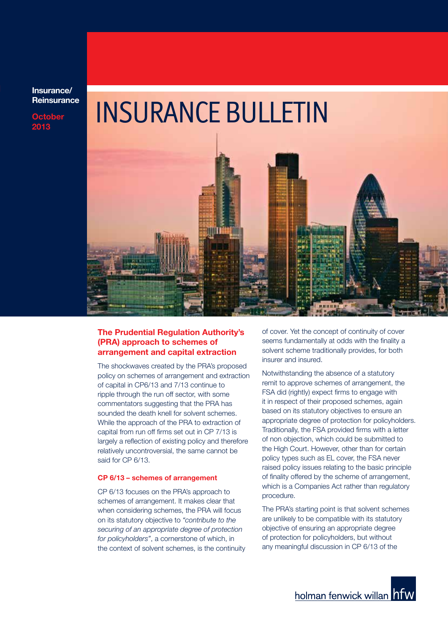**Insurance/ Reinsurance**

**October 2013**

# INSURANCE BULLETIN



#### **The Prudential Regulation Authority's (PRA) approach to schemes of arrangement and capital extraction**

The shockwaves created by the PRA's proposed policy on schemes of arrangement and extraction of capital in CP6/13 and 7/13 continue to ripple through the run off sector, with some commentators suggesting that the PRA has sounded the death knell for solvent schemes. While the approach of the PRA to extraction of capital from run off firms set out in CP 7/13 is largely a reflection of existing policy and therefore relatively uncontroversial, the same cannot be said for CP 6/13.

#### **CP 6/13 – schemes of arrangement**

CP 6/13 focuses on the PRA's approach to schemes of arrangement. It makes clear that when considering schemes, the PRA will focus on its statutory objective to *"contribute to the securing of an appropriate degree of protection for policyholders"*, a cornerstone of which, in the context of solvent schemes, is the continuity of cover. Yet the concept of continuity of cover seems fundamentally at odds with the finality a solvent scheme traditionally provides, for both insurer and insured.

Notwithstanding the absence of a statutory remit to approve schemes of arrangement, the FSA did (rightly) expect firms to engage with it in respect of their proposed schemes, again based on its statutory objectives to ensure an appropriate degree of protection for policyholders. Traditionally, the FSA provided firms with a letter of non objection, which could be submitted to the High Court. However, other than for certain policy types such as EL cover, the FSA never raised policy issues relating to the basic principle of finality offered by the scheme of arrangement, which is a Companies Act rather than regulatory procedure.

The PRA's starting point is that solvent schemes are unlikely to be compatible with its statutory objective of ensuring an appropriate degree of protection for policyholders, but without any meaningful discussion in CP 6/13 of the

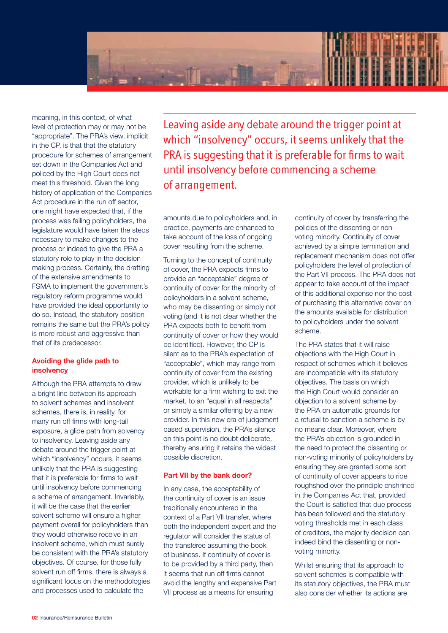

meaning, in this context, of what level of protection may or may not be "appropriate". The PRA's view, implicit in the CP, is that that the statutory procedure for schemes of arrangement set down in the Companies Act and policed by the High Court does not meet this threshold. Given the long history of application of the Companies Act procedure in the run off sector, one might have expected that, if the process was failing policyholders, the legislature would have taken the steps necessary to make changes to the process or indeed to give the PRA a statutory role to play in the decision making process. Certainly, the drafting of the extensive amendments to FSMA to implement the government's regulatory reform programme would have provided the ideal opportunity to do so. Instead, the statutory position remains the same but the PRA's policy is more robust and aggressive than that of its predecessor.

#### **Avoiding the glide path to insolvency**

Although the PRA attempts to draw a bright line between its approach to solvent schemes and insolvent schemes, there is, in reality, for many run off firms with long-tail exposure, a glide path from solvency to insolvency. Leaving aside any debate around the trigger point at which "insolvency" occurs, it seems unlikely that the PRA is suggesting that it is preferable for firms to wait until insolvency before commencing a scheme of arrangement. Invariably, it will be the case that the earlier solvent scheme will ensure a higher payment overall for policyholders than they would otherwise receive in an insolvent scheme, which must surely be consistent with the PRA's statutory objectives. Of course, for those fully solvent run off firms, there is always a significant focus on the methodologies and processes used to calculate the

Leaving aside any debate around the trigger point at which "insolvency" occurs, it seems unlikely that the PRA is suggesting that it is preferable for firms to wait until insolvency before commencing a scheme of arrangement.

amounts due to policyholders and, in practice, payments are enhanced to take account of the loss of ongoing cover resulting from the scheme.

Turning to the concept of continuity of cover, the PRA expects firms to provide an "acceptable" degree of continuity of cover for the minority of policyholders in a solvent scheme, who may be dissenting or simply not voting (and it is not clear whether the PRA expects both to benefit from continuity of cover or how they would be identified). However, the CP is silent as to the PRA's expectation of "acceptable", which may range from continuity of cover from the existing provider, which is unlikely to be workable for a firm wishing to exit the market, to an "equal in all respects" or simply a similar offering by a new provider. In this new era of judgement based supervision, the PRA's silence on this point is no doubt deliberate, thereby ensuring it retains the widest possible discretion.

#### **Part VII by the bank door?**

In any case, the acceptability of the continuity of cover is an issue traditionally encountered in the context of a Part VII transfer, where both the independent expert and the regulator will consider the status of the transferee assuming the book of business. If continuity of cover is to be provided by a third party, then it seems that run off firms cannot avoid the lengthy and expensive Part VII process as a means for ensuring

continuity of cover by transferring the policies of the dissenting or nonvoting minority. Continuity of cover achieved by a simple termination and replacement mechanism does not offer policyholders the level of protection of the Part VII process. The PRA does not appear to take account of the impact of this additional expense nor the cost of purchasing this alternative cover on the amounts available for distribution to policyholders under the solvent scheme.

The PRA states that it will raise objections with the High Court in respect of schemes which it believes are incompatible with its statutory objectives. The basis on which the High Court would consider an objection to a solvent scheme by the PRA on automatic grounds for a refusal to sanction a scheme is by no means clear. Moreover, where the PRA's objection is grounded in the need to protect the dissenting or non-voting minority of policyholders by ensuring they are granted some sort of continuity of cover appears to ride roughshod over the principle enshrined in the Companies Act that, provided the Court is satisfied that due process has been followed and the statutory voting thresholds met in each class of creditors, the majority decision can indeed bind the dissenting or nonvoting minority.

Whilst ensuring that its approach to solvent schemes is compatible with its statutory objectives, the PRA must also consider whether its actions are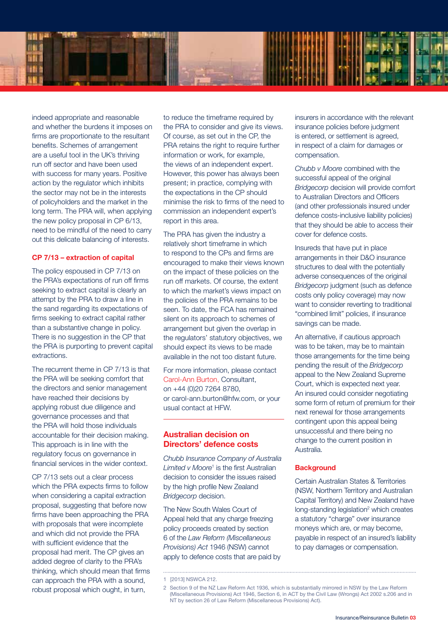

indeed appropriate and reasonable and whether the burdens it imposes on firms are proportionate to the resultant benefits. Schemes of arrangement are a useful tool in the UK's thriving run off sector and have been used with success for many years. Positive action by the regulator which inhibits the sector may not be in the interests of policyholders and the market in the long term. The PRA will, when applying the new policy proposal in CP 6/13, need to be mindful of the need to carry out this delicate balancing of interests.

#### **CP 7/13 – extraction of capital**

The policy espoused in CP 7/13 on the PRA's expectations of run off firms seeking to extract capital is clearly an attempt by the PRA to draw a line in the sand regarding its expectations of firms seeking to extract capital rather than a substantive change in policy. There is no suggestion in the CP that the PRA is purporting to prevent capital extractions.

The recurrent theme in CP 7/13 is that the PRA will be seeking comfort that the directors and senior management have reached their decisions by applying robust due diligence and governance processes and that the PRA will hold those individuals accountable for their decision making. This approach is in line with the regulatory focus on governance in financial services in the wider context.

CP 7/13 sets out a clear process which the PRA expects firms to follow when considering a capital extraction proposal, suggesting that before now firms have been approaching the PRA with proposals that were incomplete and which did not provide the PRA with sufficient evidence that the proposal had merit. The CP gives an added degree of clarity to the PRA's thinking, which should mean that firms can approach the PRA with a sound, robust proposal which ought, in turn,

to reduce the timeframe required by the PRA to consider and give its views. Of course, as set out in the CP, the PRA retains the right to require further information or work, for example, the views of an independent expert. However, this power has always been present; in practice, complying with the expectations in the CP should minimise the risk to firms of the need to commission an independent expert's report in this area.

The PRA has given the industry a relatively short timeframe in which to respond to the CPs and firms are encouraged to make their views known on the impact of these policies on the run off markets. Of course, the extent to which the market's views impact on the policies of the PRA remains to be seen. To date, the FCA has remained silent on its approach to schemes of arrangement but given the overlap in the regulators' statutory objectives, we should expect its views to be made available in the not too distant future.

For more information, please contact Carol-Ann Burton, Consultant, on +44 (0)20 7264 8780, or carol-ann.burton@hfw.com, or your usual contact at HFW.

#### **Australian decision on Directors' defence costs**

*Chubb Insurance Company of Australia*  Limited v Moore<sup>1</sup> is the first Australian decision to consider the issues raised by the high profile New Zealand *Bridgecorp* decision.

The New South Wales Court of Appeal held that any charge freezing policy proceeds created by section 6 of the *Law Reform (Miscellaneous Provisions) Act* 1946 (NSW) cannot apply to defence costs that are paid by *Chubb v Moore* combined with the successful appeal of the original *Bridgecorp* decision will provide comfort to Australian Directors and Officers (and other professionals insured under defence costs-inclusive liability policies) that they should be able to access their cover for defence costs.

Insureds that have put in place arrangements in their D&O insurance structures to deal with the potentially adverse consequences of the original *Bridgecorp* judgment (such as defence costs only policy coverage) may now want to consider reverting to traditional "combined limit" policies, if insurance savings can be made.

An alternative, if cautious approach was to be taken, may be to maintain those arrangements for the time being pending the result of the *Bridgecorp* appeal to the New Zealand Supreme Court, which is expected next year. An insured could consider negotiating some form of return of premium for their next renewal for those arrangements contingent upon this appeal being unsuccessful and there being no change to the current position in Australia.

#### **Background**

Certain Australian States & Territories (NSW, Northern Territory and Australian Capital Territory) and New Zealand have long-standing legislation<sup>2</sup> which creates a statutory "charge" over insurance moneys which are, or may become, payable in respect of an insured's liability to pay damages or compensation.

insurers in accordance with the relevant insurance policies before judgment is entered, or settlement is agreed, in respect of a claim for damages or compensation.

<sup>1</sup> [2013] NSWCA 212.

<sup>2</sup> Section 9 of the NZ Law Reform Act 1936, which is substantially mirrored in NSW by the Law Reform (Miscellaneous Provisions) Act 1946, Section 6, in ACT by the Civil Law (Wrongs) Act 2002 s.206 and in NT by section 26 of Law Reform (Miscellaneous Provisions) Act).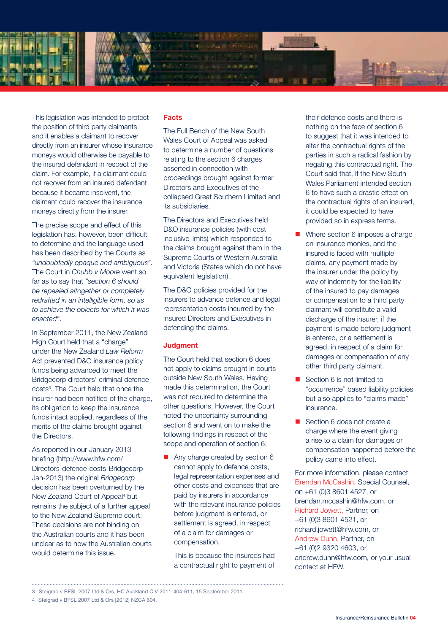

This legislation was intended to protect the position of third party claimants and it enables a claimant to recover directly from an insurer whose insurance moneys would otherwise be payable to the insured defendant in respect of the claim. For example, if a claimant could not recover from an insured defendant because it became insolvent, the claimant could recover the insurance moneys directly from the insurer.

The precise scope and effect of this legislation has, however, been difficult to determine and the language used has been described by the Courts as *"undoubtedly opaque and ambiguous"*. The Court in *Chubb v Moore* went so far as to say that *"section 6 should be repealed altogether or completely redrafted in an intelligible form, so as to achieve the objects for which it was enacted"*.

In September 2011, the New Zealand High Court held that a "charge" under the New Zealand *Law Reform* Act prevented D&O insurance policy funds being advanced to meet the Bridgecorp directors' criminal defence costs<sup>3</sup>. The Court held that once the insurer had been notified of the charge, its obligation to keep the insurance funds intact applied, regardless of the merits of the claims brought against the Directors.

As reported in our January 2013 briefing (http://www.hfw.com/ Directors-defence-costs-Bridgecorp-Jan-2013) the original *Bridgecorp* decision has been overturned by the New Zealand Court of Appeal<sup>4</sup> but remains the subject of a further appeal to the New Zealand Supreme court. These decisions are not binding on the Australian courts and it has been unclear as to how the Australian courts would determine this issue.

#### **Facts**

The Full Bench of the New South Wales Court of Appeal was asked to determine a number of questions relating to the section 6 charges asserted in connection with proceedings brought against former Directors and Executives of the collapsed Great Southern Limited and its subsidiaries.

The Directors and Executives held D&O insurance policies (with cost inclusive limits) which responded to the claims brought against them in the Supreme Courts of Western Australia and Victoria (States which do not have equivalent legislation).

The D&O policies provided for the insurers to advance defence and legal representation costs incurred by the insured Directors and Executives in defending the claims.

#### **Judgment**

The Court held that section 6 does not apply to claims brought in courts outside New South Wales. Having made this determination, the Court was not required to determine the other questions. However, the Court noted the uncertainty surrounding section 6 and went on to make the following findings in respect of the scope and operation of section 6:

 $\blacksquare$  Any charge created by section 6 cannot apply to defence costs, legal representation expenses and other costs and expenses that are paid by insurers in accordance with the relevant insurance policies before judgment is entered, or settlement is agreed, in respect of a claim for damages or compensation.

 This is because the insureds had a contractual right to payment of their defence costs and there is nothing on the face of section 6 to suggest that it was intended to alter the contractual rights of the parties in such a radical fashion by negating this contractual right. The Court said that, if the New South Wales Parliament intended section 6 to have such a drastic effect on the contractual rights of an insured, it could be expected to have provided so in express terms.

- Where section 6 imposes a charge on insurance monies, and the insured is faced with multiple claims, any payment made by the insurer under the policy by way of indemnity for the liability of the insured to pay damages or compensation to a third party claimant will constitute a valid discharge of the insurer, if the payment is made before judgment is entered, or a settlement is agreed, in respect of a claim for damages or compensation of any other third party claimant.
- $\blacksquare$  Section 6 is not limited to "occurrence" based liability policies but also applies to "claims made" insurance.
- Section 6 does not create a charge where the event giving a rise to a claim for damages or compensation happened before the policy came into effect.

For more information, please contact Brendan McCashin, Special Counsel, on +61 (0)3 8601 4527, or brendan.mccashin@hfw.com, or Richard Jowett, Partner, on +61 (0)3 8601 4521, or richard.jowett@hfw.com, or Andrew Dunn, Partner, on +61 (0)2 9320 4603, or andrew.dunn@hfw.com, or your usual contact at HFW.

<sup>3</sup> Steigrad v BFSL 2007 Ltd & Ors, HC Auckland CIV-2011-404-611, 15 September 2011.

<sup>4</sup> Steigrad v BFSL 2007 Ltd & Ors [2012] NZCA 604.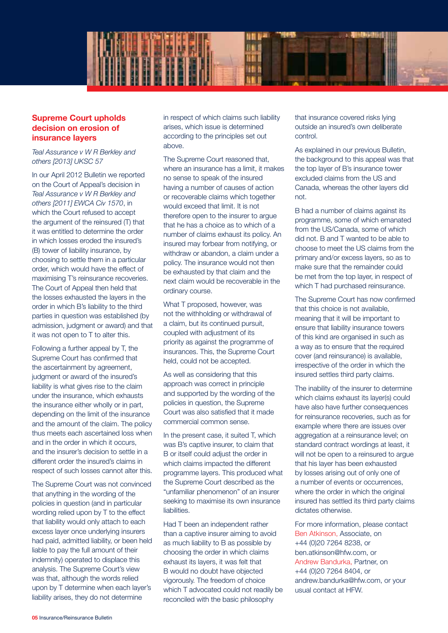

### **Supreme Court upholds decision on erosion of insurance layers**

*Teal Assurance v W R Berkley and others [2013] UKSC 57*

In our April 2012 Bulletin we reported on the Court of Appeal's decision in *Teal Assurance v W R Berkley and others [2011] EWCA Civ 1570*, in which the Court refused to accept the argument of the reinsured (T) that it was entitled to determine the order in which losses eroded the insured's (B) tower of liability insurance, by choosing to settle them in a particular order, which would have the effect of maximising T's reinsurance recoveries. The Court of Appeal then held that the losses exhausted the layers in the order in which B's liability to the third parties in question was established (by admission, judgment or award) and that it was not open to T to alter this.

Following a further appeal by T, the Supreme Court has confirmed that the ascertainment by agreement, judgment or award of the insured's liability is what gives rise to the claim under the insurance, which exhausts the insurance either wholly or in part, depending on the limit of the insurance and the amount of the claim. The policy thus meets each ascertained loss when and in the order in which it occurs, and the insurer's decision to settle in a different order the insured's claims in respect of such losses cannot alter this.

The Supreme Court was not convinced that anything in the wording of the policies in question (and in particular wording relied upon by T to the effect that liability would only attach to each excess layer once underlying insurers had paid, admitted liability, or been held liable to pay the full amount of their indemnity) operated to displace this analysis. The Supreme Court's view was that, although the words relied upon by T determine when each layer's liability arises, they do not determine

in respect of which claims such liability arises, which issue is determined according to the principles set out above.

The Supreme Court reasoned that, where an insurance has a limit, it makes no sense to speak of the insured having a number of causes of action or recoverable claims which together would exceed that limit. It is not therefore open to the insurer to argue that he has a choice as to which of a number of claims exhaust its policy. An insured may forbear from notifying, or withdraw or abandon, a claim under a policy. The insurance would not then be exhausted by that claim and the next claim would be recoverable in the ordinary course.

What T proposed, however, was not the withholding or withdrawal of a claim, but its continued pursuit, coupled with adjustment of its priority as against the programme of insurances. This, the Supreme Court held, could not be accepted.

As well as considering that this approach was correct in principle and supported by the wording of the policies in question, the Supreme Court was also satisfied that it made commercial common sense.

In the present case, it suited T, which was B's captive insurer, to claim that B or itself could adjust the order in which claims impacted the different programme layers. This produced what the Supreme Court described as the "unfamiliar phenomenon" of an insurer seeking to maximise its own insurance liabilities.

Had T been an independent rather than a captive insurer aiming to avoid as much liability to B as possible by choosing the order in which claims exhaust its layers, it was felt that B would no doubt have objected vigorously. The freedom of choice which T advocated could not readily be reconciled with the basic philosophy

that insurance covered risks lying outside an insured's own deliberate control.

As explained in our previous Bulletin, the background to this appeal was that the top layer of B's insurance tower excluded claims from the US and Canada, whereas the other layers did not.

B had a number of claims against its programme, some of which emanated from the US/Canada, some of which did not. B and T wanted to be able to choose to meet the US claims from the primary and/or excess layers, so as to make sure that the remainder could be met from the top layer, in respect of which T had purchased reinsurance.

The Supreme Court has now confirmed that this choice is not available, meaning that it will be important to ensure that liability insurance towers of this kind are organised in such as a way as to ensure that the required cover (and reinsurance) is available, irrespective of the order in which the insured settles third party claims.

The inability of the insurer to determine which claims exhaust its layer(s) could have also have further consequences for reinsurance recoveries, such as for example where there are issues over aggregation at a reinsurance level; on standard contract wordings at least, it will not be open to a reinsured to argue that his layer has been exhausted by losses arising out of only one of a number of events or occurrences, where the order in which the original insured has settled its third party claims dictates otherwise.

For more information, please contact Ben Atkinson, Associate, on +44 (0)20 7264 8238, or ben.atkinson@hfw.com, or Andrew Bandurka, Partner, on +44 (0)20 7264 8404, or andrew.bandurka@hfw.com, or your usual contact at HFW.